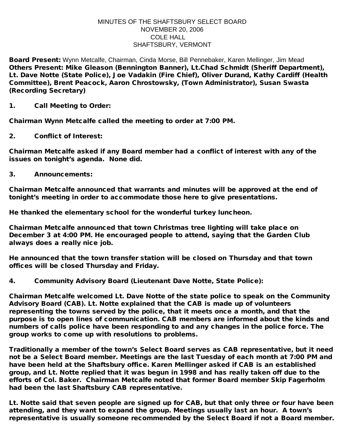## MINUTES OF THE SHAFTSBURY SELECT BOARD NOVEMBER 20, 2006 COLE HALL SHAFTSBURY, VERMONT

Board Present: Wynn Metcalfe, Chairman, Cinda Morse, Bill Pennebaker, Karen Mellinger, Jim Mead Others Present: Mike Gleason (Bennington Banner), Lt.Chad Schmidt (Sheriff Department), Lt. Dave Notte (State Police), Joe Vadakin (Fire Chief), Oliver Durand, Kathy Cardiff (Health Committee), Brent Peacock, Aaron Chrostowsky, (Town Administrator), Susan Swasta (Recording Secretary)

1. Call Meeting to Order:

Chairman Wynn Metcalfe called the meeting to order at 7:00 PM.

2. Conflict of Interest:

Chairman Metcalfe asked if any Board member had a conflict of interest with any of the issues on tonight's agenda. None did.

3. Announcements:

Chairman Metcalfe announced that warrants and minutes will be approved at the end of tonight's meeting in order to accommodate those here to give presentations.

He thanked the elementary school for the wonderful turkey luncheon.

Chairman Metcalfe announced that town Christmas tree lighting will take place on December 3 at 4:00 PM. He encouraged people to attend, saying that the Garden Club always does a really nice job.

He announced that the town transfer station will be closed on Thursday and that town offices will be closed Thursday and Friday.

4. Community Advisory Board (Lieutenant Dave Notte, State Police):

Chairman Metcalfe welcomed Lt. Dave Notte of the state police to speak on the Community Advisory Board (CAB). Lt. Notte explained that the CAB is made up of volunteers representing the towns served by the police, that it meets once a month, and that the purpose is to open lines of communication. CAB members are informed about the kinds and numbers of calls police have been responding to and any changes in the police force. The group works to come up with resolutions to problems.

Traditionally a member of the town's Select Board serves as CAB representative, but it need not be a Select Board member. Meetings are the last Tuesday of each month at 7:00 PM and have been held at the Shaftsbury office. Karen Mellinger asked if CAB is an established group, and Lt. Notte replied that it was begun in 1998 and has really taken off due to the efforts of Col. Baker. Chairman Metcalfe noted that former Board member Skip Fagerholm had been the last Shaftsbury CAB representative.

Lt. Notte said that seven people are signed up for CAB, but that only three or four have been attending, and they want to expand the group. Meetings usually last an hour. A town's representative is usually someone recommended by the Select Board if not a Board member.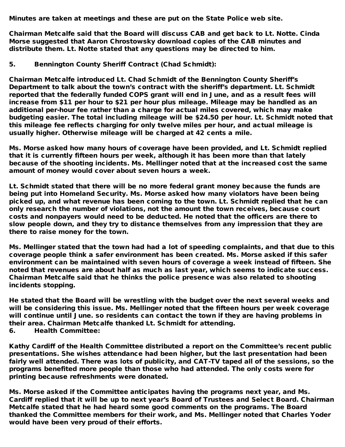Minutes are taken at meetings and these are put on the State Police web site.

Chairman Metcalfe said that the Board will discuss CAB and get back to Lt. Notte. Cinda Morse suggested that Aaron Chrostowsky download copies of the CAB minutes and distribute them. Lt. Notte stated that any questions may be directed to him.

5. Bennington County Sheriff Contract (Chad Schmidt):

Chairman Metcalfe introduced Lt. Chad Schmidt of the Bennington County Sheriff's Department to talk about the town's contract with the sheriff's department. Lt. Schmidt reported that the federally funded COPS grant will end in June, and as a result fees will increase from \$11 per hour to \$21 per hour plus mileage. Mileage may be handled as an additional per-hour fee rather than a charge for actual miles covered, which may make budgeting easier. The total including mileage will be \$24.50 per hour. Lt. Schmidt noted that this mileage fee reflects charging for only twelve miles per hour, and actual mileage is usually higher. Otherwise mileage will be charged at 42 cents a mile.

Ms. Morse asked how many hours of coverage have been provided, and Lt. Schmidt replied that it is currently fifteen hours per week, although it has been more than that lately because of the shooting incidents. Ms. Mellinger noted that at the increased cost the same amount of money would cover about seven hours a week.

Lt. Schmidt stated that there will be no more federal grant money because the funds are being put into Homeland Security. Ms. Morse asked how many violators have been being picked up, and what revenue has been coming to the town. Lt. Schmidt replied that he can only research the number of violations, not the amount the town receives, because court costs and nonpayers would need to be deducted. He noted that the officers are there to slow people down, and they try to distance themselves from any impression that they are there to raise money for the town.

Ms. Mellinger stated that the town had had a lot of speeding complaints, and that due to this coverage people think a safer environment has been created. Ms. Morse asked if this safer environment can be maintained with seven hours of coverage a week instead of fifteen. She noted that revenues are about half as much as last year, which seems to indicate success. Chairman Metcalfe said that he thinks the police presence was also related to shooting incidents stopping.

He stated that the Board will be wrestling with the budget over the next several weeks and will be considering this issue. Ms. Mellinger noted that the fifteen hours per week coverage will continue until June. so residents can contact the town if they are having problems in their area. Chairman Metcalfe thanked Lt. Schmidt for attending.

6. Health Committee:

Kathy Cardiff of the Health Committee distributed a report on the Committee's recent public presentations. She wishes attendance had been higher, but the last presentation had been fairly well attended. There was lots of publicity, and CAT-TV taped all of the sessions, so the programs benefited more people than those who had attended. The only costs were for printing because refreshments were donated.

Ms. Morse asked if the Committee anticipates having the programs next year, and Ms. Cardiff replied that it will be up to next year's Board of Trustees and Select Board. Chairman Metcalfe stated that he had heard some good comments on the programs. The Board thanked the Committee members for their work, and Ms. Mellinger noted that Charles Yoder would have been very proud of their efforts.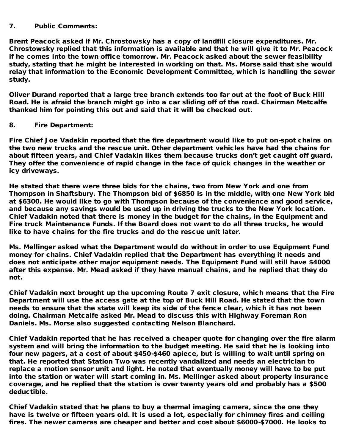## 7. Public Comments:

Brent Peacock asked if Mr. Chrostowsky has a copy of landfill closure expenditures. Mr. Chrostowsky replied that this information is available and that he will give it to Mr. Peacock if he comes into the town office tomorrow. Mr. Peacock asked about the sewer feasibility study, stating that he might be interested in working on that. Ms. Morse said that she would relay that information to the Economic Development Committee, which is handling the sewer study.

Oliver Durand reported that a large tree branch extends too far out at the foot of Buck Hill Road. He is afraid the branch might go into a car sliding off of the road. Chairman Metcalfe thanked him for pointing this out and said that it will be checked out.

## 8. Fire Department:

Fire Chief Joe Vadakin reported that the fire department would like to put on-spot chains on the two new trucks and the rescue unit. Other department vehicles have had the chains for about fifteen years, and Chief Vadakin likes them because trucks don't get caught off guard. They offer the convenience of rapid change in the face of quick changes in the weather or icy driveways.

He stated that there were three bids for the chains, two from New York and one from Thompson in Shaftsbury. The Thompson bid of \$6850 is in the middle, with one New York bid at \$6300. He would like to go with Thompson because of the convenience and good service, and because any savings would be used up in driving the trucks to the New York location. Chief Vadakin noted that there is money in the budget for the chains, in the Equipment and Fire truck Maintenance Funds. If the Board does not want to do all three trucks, he would like to have chains for the fire trucks and do the rescue unit later.

Ms. Mellinger asked what the Department would do without in order to use Equipment Fund money for chains. Chief Vadakin replied that the Department has everything it needs and does not anticipate other major equipment needs. The Equipment Fund will still have \$4000 after this expense. Mr. Mead asked if they have manual chains, and he replied that they do not.

Chief Vadakin next brought up the upcoming Route 7 exit closure, which means that the Fire Department will use the access gate at the top of Buck Hill Road. He stated that the town needs to ensure that the state will keep its side of the fence clear, which it has not been doing. Chairman Metcalfe asked Mr. Mead to discuss this with Highway Foreman Ron Daniels. Ms. Morse also suggested contacting Nelson Blanchard.

Chief Vadakin reported that he has received a cheaper quote for changing over the fire alarm system and will bring the information to the budget meeting. He said that he is looking into four new pagers, at a cost of about \$450-\$460 apiece, but is willing to wait until spring on that. He reported that Station Two was recently vandalized and needs an electrician to replace a motion sensor unit and light. He noted that eventually money will have to be put into the station or water will start coming in. Ms. Mellinger asked about property insurance coverage, and he replied that the station is over twenty years old and probably has a \$500 deductible.

Chief Vadakin stated that he plans to buy a thermal imaging camera, since the one they have is twelve or fifteen years old. It is used a lot, especially for chimney fires and ceiling fires. The newer cameras are cheaper and better and cost about \$6000-\$7000. He looks to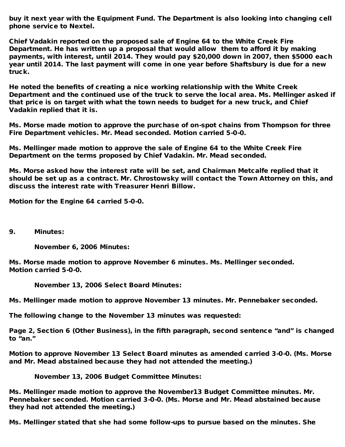buy it next year with the Equipment Fund. The Department is also looking into changing cell phone service to Nextel.

Chief Vadakin reported on the proposed sale of Engine 64 to the White Creek Fire Department. He has written up a proposal that would allow them to afford it by making payments, with interest, until 2014. They would pay \$20,000 down in 2007, then \$5000 each year until 2014. The last payment will come in one year before Shaftsbury is due for a new truck.

He noted the benefits of creating a nice working relationship with the White Creek Department and the continued use of the truck to serve the local area. Ms. Mellinger asked if that price is on target with what the town needs to budget for a new truck, and Chief Vadakin replied that it is.

Ms. Morse made motion to approve the purchase of on-spot chains from Thompson for three Fire Department vehicles. Mr. Mead seconded. Motion carried 5-0-0.

Ms. Mellinger made motion to approve the sale of Engine 64 to the White Creek Fire Department on the terms proposed by Chief Vadakin. Mr. Mead seconded.

Ms. Morse asked how the interest rate will be set, and Chairman Metcalfe replied that it should be set up as a contract. Mr. Chrostowsky will contact the Town Attorney on this, and discuss the interest rate with Treasurer Henri Billow.

Motion for the Engine 64 carried 5-0-0.

9. Minutes:

November 6, 2006 Minutes:

Ms. Morse made motion to approve November 6 minutes. Ms. Mellinger seconded. Motion carried 5-0-0.

November 13, 2006 Select Board Minutes:

Ms. Mellinger made motion to approve November 13 minutes. Mr. Pennebaker seconded.

The following change to the November 13 minutes was requested:

Page 2, Section 6 (Other Business), in the fifth paragraph, second sentence "and" is changed to "an."

Motion to approve November 13 Select Board minutes as amended carried 3-0-0. (Ms. Morse and Mr. Mead abstained because they had not attended the meeting.)

November 13, 2006 Budget Committee Minutes:

Ms. Mellinger made motion to approve the November13 Budget Committee minutes. Mr. Pennebaker seconded. Motion carried 3-0-0. (Ms. Morse and Mr. Mead abstained because they had not attended the meeting.)

Ms. Mellinger stated that she had some follow-ups to pursue based on the minutes. She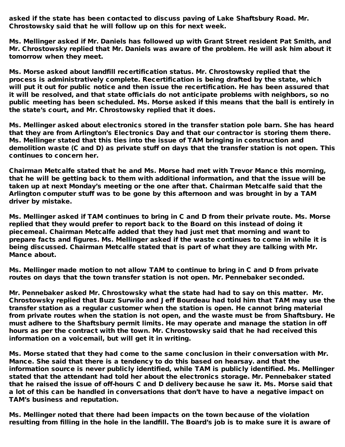asked if the state has been contacted to discuss paving of Lake Shaftsbury Road. Mr. Chrostowsky said that he will follow up on this for next week.

Ms. Mellinger asked if Mr. Daniels has followed up with Grant Street resident Pat Smith, and Mr. Chrostowsky replied that Mr. Daniels was aware of the problem. He will ask him about it tomorrow when they meet.

Ms. Morse asked about landfill recertification status. Mr. Chrostowsky replied that the process is administratively complete. Recertification is being drafted by the state, which will put it out for public notice and then issue the recertification. He has been assured that it will be resolved, and that state officials do not anticipate problems with neighbors, so no public meeting has been scheduled. Ms. Morse asked if this means that the ball is entirely in the state's court, and Mr. Chrostowsky replied that it does.

Ms. Mellinger asked about electronics stored in the transfer station pole barn. She has heard that they are from Arlington's Electronics Day and that our contractor is storing them there. Ms. Mellinger stated that this ties into the issue of TAM bringing in construction and demolition waste (C and D) as private stuff on days that the transfer station is not open. This continues to concern her.

Chairman Metcalfe stated that he and Ms. Morse had met with Trevor Mance this morning, that he will be getting back to them with additional information, and that the issue will be taken up at next Monday's meeting or the one after that. Chairman Metcalfe said that the Arlington computer stuff was to be gone by this afternoon and was brought in by a TAM driver by mistake.

Ms. Mellinger asked if TAM continues to bring in C and D from their private route. Ms. Morse replied that they would prefer to report back to the Board on this instead of doing it piecemeal. Chairman Metcalfe added that they had just met that morning and want to prepare facts and figures. Ms. Mellinger asked if the waste continues to come in while it is being discussed. Chairman Metcalfe stated that is part of what they are talking with Mr. Mance about.

Ms. Mellinger made motion to not allow TAM to continue to bring in C and D from private routes on days that the town transfer station is not open. Mr. Pennebaker seconded.

Mr. Pennebaker asked Mr. Chrostowsky what the state had had to say on this matter. Mr. Chrostowsky replied that Buzz Surwilo and Jeff Bourdeau had told him that TAM may use the transfer station as a regular customer when the station is open. He cannot bring material from private routes when the station is not open, and the waste must be from Shaftsbury. He must adhere to the Shaftsbury permit limits. He may operate and manage the station in off hours as per the contract with the town. Mr. Chrostowsky said that he had received this information on a voicemail, but will get it in writing.

Ms. Morse stated that they had come to the same conclusion in their conversation with Mr. Mance. She said that there is a tendency to do this based on hearsay. and that the information source is never publicly identified, while TAM is publicly identified. Ms. Mellinger stated that the attendant had told her about the electronics storage. Mr. Pennebaker stated that he raised the issue of off-hours C and D delivery because he saw it. Ms. Morse said that a lot of this can be handled in conversations that don't have to have a negative impact on TAM's business and reputation.

Ms. Mellinger noted that there had been impacts on the town because of the violation resulting from filling in the hole in the landfill. The Board's job is to make sure it is aware of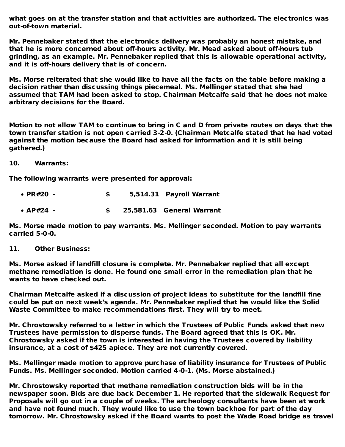what goes on at the transfer station and that activities are authorized. The electronics was out-of-town material.

Mr. Pennebaker stated that the electronics delivery was probably an honest mistake, and that he is more concerned about off-hours activity. Mr. Mead asked about off-hours tub grinding, as an example. Mr. Pennebaker replied that this is allowable operational activity, and it is off-hours delivery that is of concern.

Ms. Morse reiterated that she would like to have all the facts on the table before making a decision rather than discussing things piecemeal. Ms. Mellinger stated that she had assumed that TAM had been asked to stop. Chairman Metcalfe said that he does not make arbitrary decisions for the Board.

Motion to not allow TAM to continue to bring in C and D from private routes on days that the town transfer station is not open carried 3-2-0. (Chairman Metcalfe stated that he had voted against the motion because the Board had asked for information and it is still being gathered.)

10. Warrants:

The following warrants were presented for approval:

| • PR#20 -   |  | 5,514.31 Payroll Warrant  |
|-------------|--|---------------------------|
| • $AP#24$ - |  | 25,581.63 General Warrant |

Ms. Morse made motion to pay warrants. Ms. Mellinger seconded. Motion to pay warrants carried 5-0-0.

11. Other Business:

Ms. Morse asked if landfill closure is complete. Mr. Pennebaker replied that all except methane remediation is done. He found one small error in the remediation plan that he wants to have checked out.

Chairman Metcalfe asked if a discussion of project ideas to substitute for the landfill fine could be put on next week's agenda. Mr. Pennebaker replied that he would like the Solid Waste Committee to make recommendations first. They will try to meet.

Mr. Chrostowsky referred to a letter in which the Trustees of Public Funds asked that new Trustees have permission to disperse funds. The Board agreed that this is OK. Mr. Chrostowsky asked if the town is interested in having the Trustees covered by liability insurance, at a cost of \$425 apiece. They are not currently covered.

Ms. Mellinger made motion to approve purchase of liability insurance for Trustees of Public Funds. Ms. Mellinger seconded. Motion carried 4-0-1. (Ms. Morse abstained.)

Mr. Chrostowsky reported that methane remediation construction bids will be in the newspaper soon. Bids are due back December 1. He reported that the sidewalk Request for Proposals will go out in a couple of weeks. The archeology consultants have been at work and have not found much. They would like to use the town backhoe for part of the day tomorrow. Mr. Chrostowsky asked if the Board wants to post the Wade Road bridge as travel